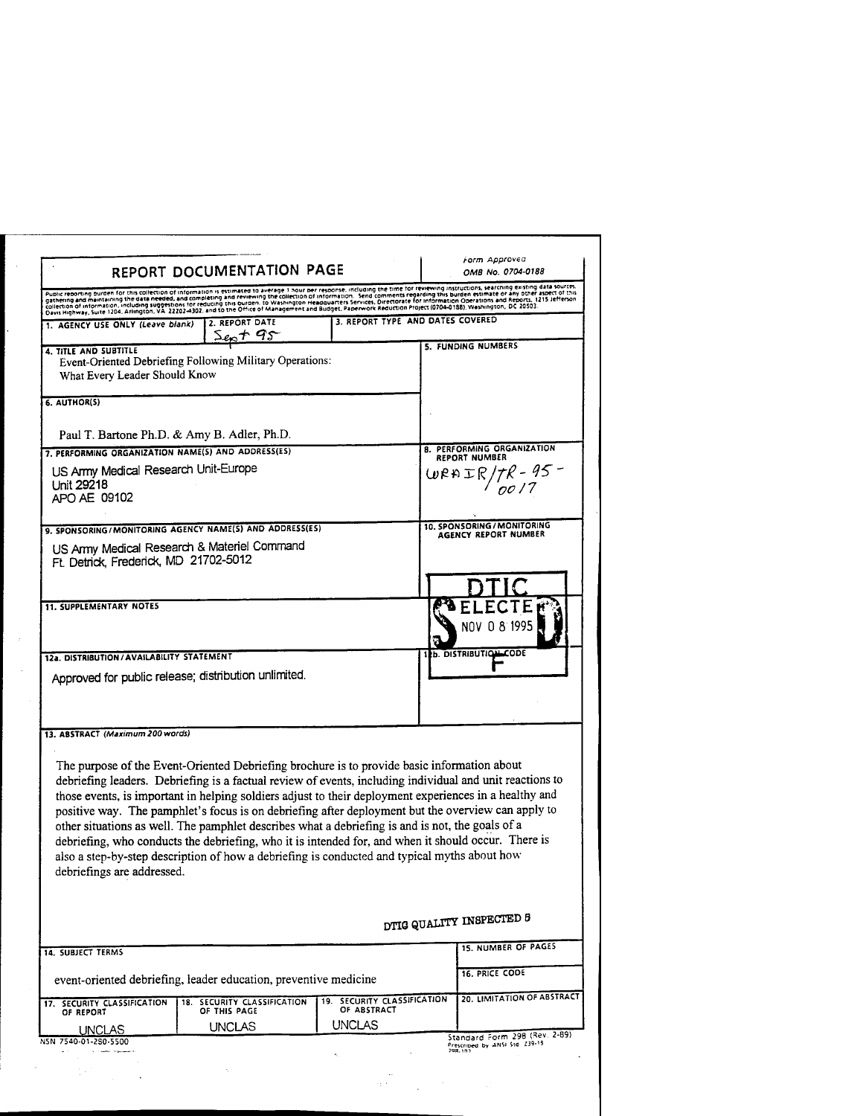|                                                                                                                                                                                                                                                                                                                                                                                                                          | REPORT DOCUMENTATION PAGE                                                                                                                                                                                                                                                                       |                                            | Form Approved<br>OMB No. 0704-0188                                                                                                                                                                                                                                                                                                                                                                                              |
|--------------------------------------------------------------------------------------------------------------------------------------------------------------------------------------------------------------------------------------------------------------------------------------------------------------------------------------------------------------------------------------------------------------------------|-------------------------------------------------------------------------------------------------------------------------------------------------------------------------------------------------------------------------------------------------------------------------------------------------|--------------------------------------------|---------------------------------------------------------------------------------------------------------------------------------------------------------------------------------------------------------------------------------------------------------------------------------------------------------------------------------------------------------------------------------------------------------------------------------|
| Public reporting burden for this collection of information is estimated to average 1 hour per response, including the time for reviewing instructions, searching existing data sources.<br>rupinc recording outcom for any conection of information in extractive were regulated by the company in the company instruction of the specifical statements in a structure of this gathering this burden estimate or any oth |                                                                                                                                                                                                                                                                                                 |                                            |                                                                                                                                                                                                                                                                                                                                                                                                                                 |
| 1. AGENCY USE ONLY (Leave blank)                                                                                                                                                                                                                                                                                                                                                                                         | 2. REPORT DATE<br>$S_{en} + 95$                                                                                                                                                                                                                                                                 | 3. REPORT TYPE AND DATES COVERED           |                                                                                                                                                                                                                                                                                                                                                                                                                                 |
| 4. TITLE AND SUBTITLE<br>What Every Leader Should Know                                                                                                                                                                                                                                                                                                                                                                   | Event-Oriented Debriefing Following Military Operations:                                                                                                                                                                                                                                        |                                            | 5. FUNDING NUMBERS                                                                                                                                                                                                                                                                                                                                                                                                              |
| 6. AUTHOR(5)                                                                                                                                                                                                                                                                                                                                                                                                             |                                                                                                                                                                                                                                                                                                 |                                            |                                                                                                                                                                                                                                                                                                                                                                                                                                 |
| Paul T. Bartone Ph.D. & Amy B. Adler, Ph.D.                                                                                                                                                                                                                                                                                                                                                                              |                                                                                                                                                                                                                                                                                                 |                                            |                                                                                                                                                                                                                                                                                                                                                                                                                                 |
| 7. PERFORMING ORGANIZATION NAME(S) AND ADDRESS(ES)                                                                                                                                                                                                                                                                                                                                                                       |                                                                                                                                                                                                                                                                                                 |                                            | <b>8. PERFORMING ORGANIZATION</b><br><b>REPORT NUMBER</b>                                                                                                                                                                                                                                                                                                                                                                       |
| US Army Medical Research Unit-Europe<br>Unit 29218<br>APO AE 09102                                                                                                                                                                                                                                                                                                                                                       |                                                                                                                                                                                                                                                                                                 |                                            | $WRRTR/7R - 95 -$                                                                                                                                                                                                                                                                                                                                                                                                               |
| 9. SPONSORING/MONITORING AGENCY NAME(S) AND ADDRESS(ES)                                                                                                                                                                                                                                                                                                                                                                  |                                                                                                                                                                                                                                                                                                 |                                            | 10. SPONSORING / MONITORING<br>AGENCY REPORT NUMBER                                                                                                                                                                                                                                                                                                                                                                             |
| US Army Medical Research & Materiel Command<br>Ft. Detrick, Frederick, MD 21702-5012                                                                                                                                                                                                                                                                                                                                     |                                                                                                                                                                                                                                                                                                 |                                            |                                                                                                                                                                                                                                                                                                                                                                                                                                 |
|                                                                                                                                                                                                                                                                                                                                                                                                                          |                                                                                                                                                                                                                                                                                                 |                                            |                                                                                                                                                                                                                                                                                                                                                                                                                                 |
| <b>11. SUPPLEMENTARY NOTES</b>                                                                                                                                                                                                                                                                                                                                                                                           |                                                                                                                                                                                                                                                                                                 |                                            | NOV                                                                                                                                                                                                                                                                                                                                                                                                                             |
| 12a. DISTRIBUTION/AVAILABILITY STATEMENT<br>Approved for public release; distribution unlimited.                                                                                                                                                                                                                                                                                                                         |                                                                                                                                                                                                                                                                                                 |                                            | b. DISTRIBUTION CODE                                                                                                                                                                                                                                                                                                                                                                                                            |
|                                                                                                                                                                                                                                                                                                                                                                                                                          |                                                                                                                                                                                                                                                                                                 |                                            |                                                                                                                                                                                                                                                                                                                                                                                                                                 |
| 13. ABSTRACT (Maximum 200 words)                                                                                                                                                                                                                                                                                                                                                                                         |                                                                                                                                                                                                                                                                                                 |                                            |                                                                                                                                                                                                                                                                                                                                                                                                                                 |
| debriefings are addressed.                                                                                                                                                                                                                                                                                                                                                                                               | The purpose of the Event-Oriented Debriefing brochure is to provide basic information about<br>other situations as well. The pamphlet describes what a debriefing is and is not, the goals of a<br>also a step-by-step description of how a debriefing is conducted and typical myths about how |                                            | debriefing leaders. Debriefing is a factual review of events, including individual and unit reactions to<br>those events, is important in helping soldiers adjust to their deployment experiences in a healthy and<br>positive way. The pamphlet's focus is on debriefing after deployment but the overview can apply to<br>debriefing, who conducts the debriefing, who it is intended for, and when it should occur. There is |
|                                                                                                                                                                                                                                                                                                                                                                                                                          |                                                                                                                                                                                                                                                                                                 |                                            | DTIG QUALITY INSPECTED 5                                                                                                                                                                                                                                                                                                                                                                                                        |
| <b>14. SUBJECT TERMS</b>                                                                                                                                                                                                                                                                                                                                                                                                 |                                                                                                                                                                                                                                                                                                 |                                            |                                                                                                                                                                                                                                                                                                                                                                                                                                 |
|                                                                                                                                                                                                                                                                                                                                                                                                                          | event-oriented debriefing, leader education, preventive medicine                                                                                                                                                                                                                                |                                            | 16. PRICE CODE                                                                                                                                                                                                                                                                                                                                                                                                                  |
| 17. SECURITY CLASSIFICATION<br>OF REPORT                                                                                                                                                                                                                                                                                                                                                                                 | 18. SECURITY CLASSIFICATION<br>OF THIS PAGE                                                                                                                                                                                                                                                     | 19. SECURITY CLASSIFICATION<br>OF ABSTRACT | <b>15. NUMBER OF PAGES</b><br>20. LIMITATION OF ABSTRACT                                                                                                                                                                                                                                                                                                                                                                        |
|                                                                                                                                                                                                                                                                                                                                                                                                                          | UNCLAS                                                                                                                                                                                                                                                                                          | UNCLAS                                     |                                                                                                                                                                                                                                                                                                                                                                                                                                 |
| <b>UNCLAS</b><br>NSN 7540-01-280-5500                                                                                                                                                                                                                                                                                                                                                                                    |                                                                                                                                                                                                                                                                                                 |                                            | Standard Form 298 (Rev. 2-89)<br>Prescribed by ANSI Std. 239-18                                                                                                                                                                                                                                                                                                                                                                 |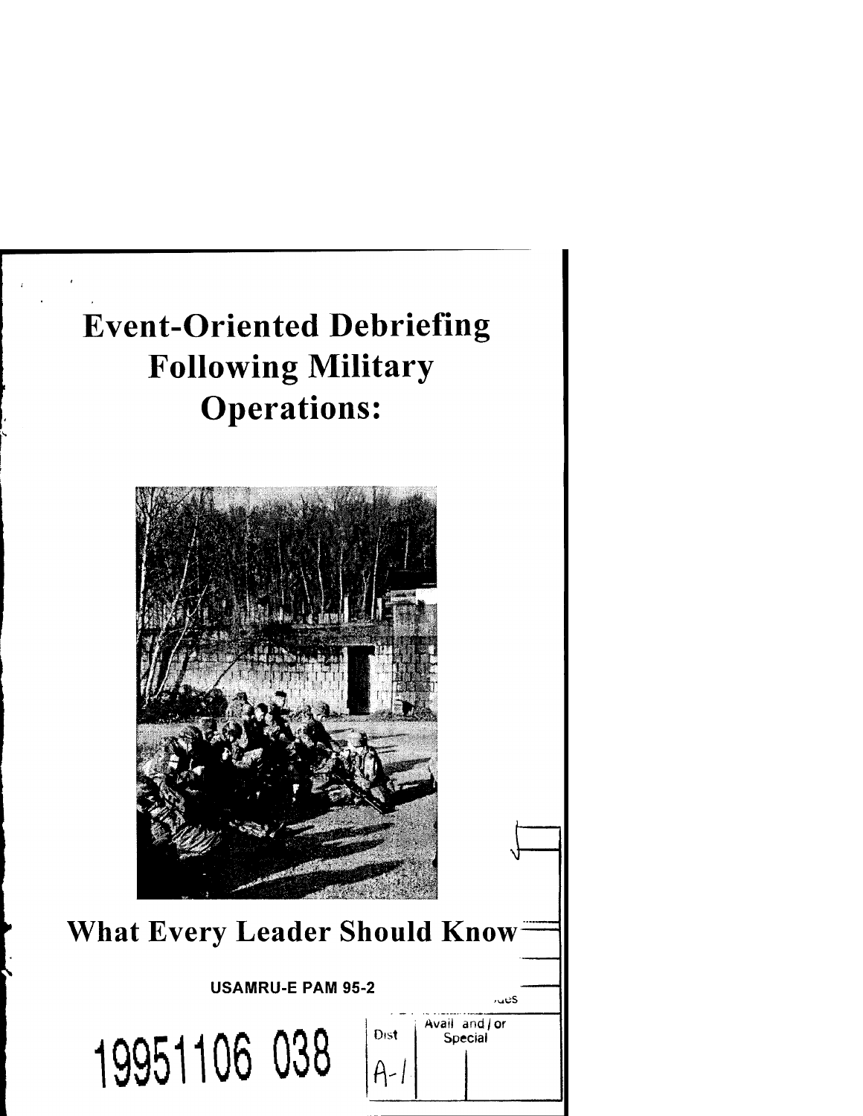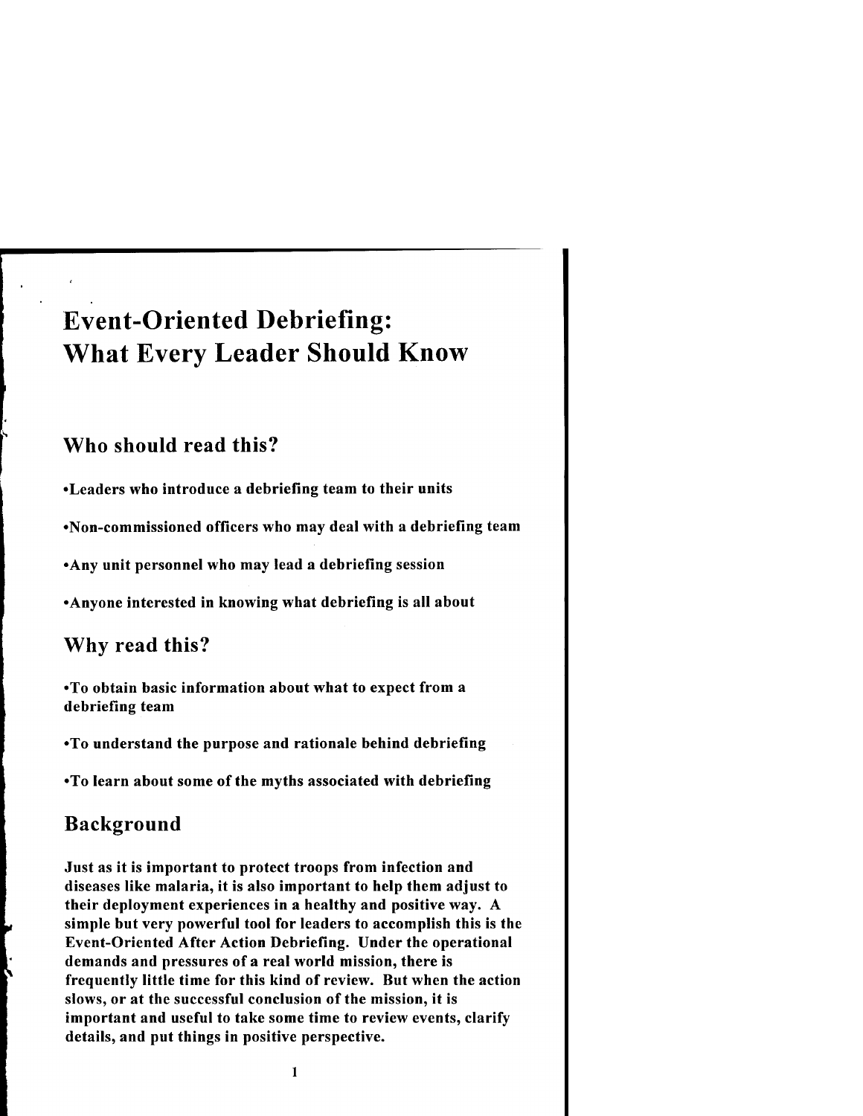# Event-Oriented Debriefing: What Every Leader Should Know

## Who should read this?

•Leaders who introduce a debriefing team to their units

•Non-commissioned officers who may deal with a debriefing team

•Any unit personnel who may lead a debriefing session

•Anyone interested in knowing what debriefing is all about

## Why read this?

•To obtain basic information about what to expect from a debriefing team

•To understand the purpose and rationale behind debriefing

•To learn about some of the myths associated with debriefing

## Background

Just as it is important to protect troops from infection and diseases like malaria, it is also important to help them adjust to their deployment experiences in a healthy and positive way. A simple but very powerful tool for leaders to accomplish this is the Event-Oriented After Action Debriefing. Under the operational demands and pressures of a real world mission, there is frequently little time for this kind of review. But when the action slows, or at the successful conclusion of the mission, it is important and useful to take some time to review events, clarify details, and put things in positive perspective.

 $\mathbf{1}$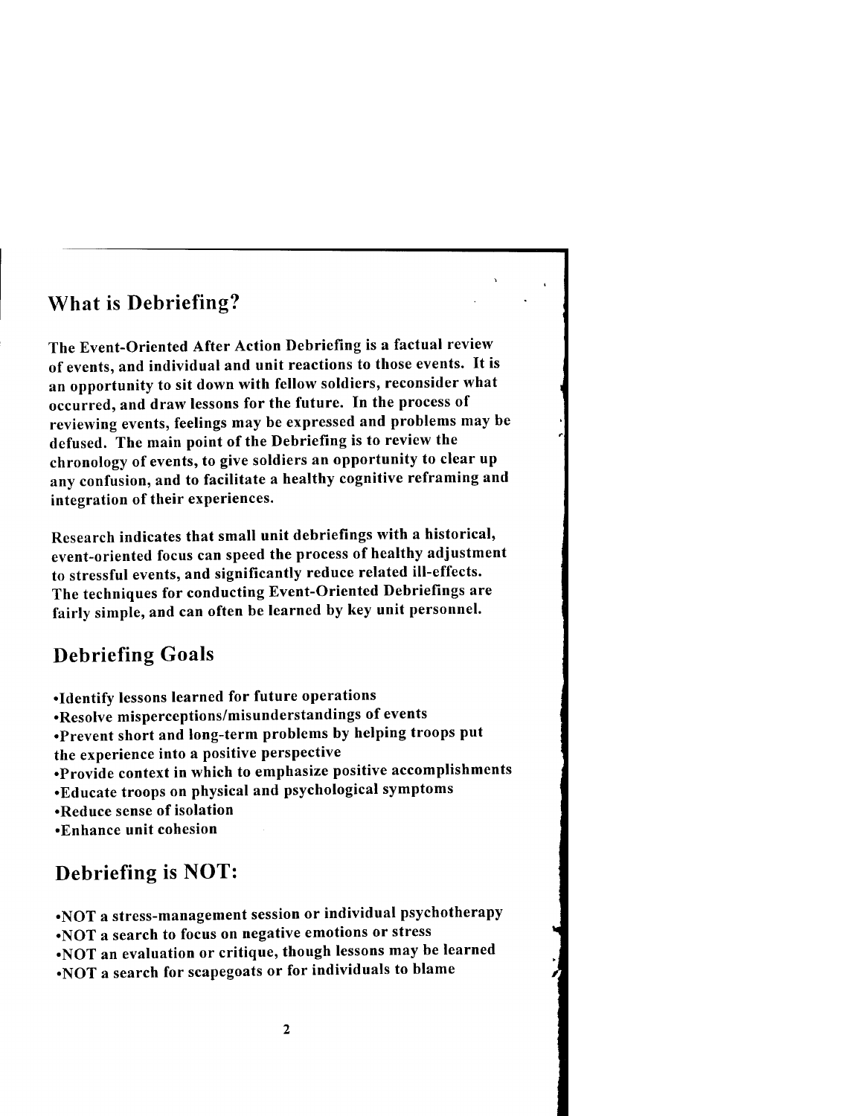### What is Debriefing?

The Event-Oriented After Action Debriefing is a factual review of events, and individual and unit reactions to those events. It is an opportunity to sit down with fellow soldiers, reconsider what occurred, and draw lessons for the future. In the process of reviewing events, feelings may be expressed and problems may be defused. The main point of the Debriefing is to review the chronology of events, to give soldiers an opportunity to clear up any confusion, and to facilitate a healthy cognitive reframing and integration of their experiences.

Research indicates that small unit debriefings with a historical, event-oriented focus can speed the process of healthy adjustment to stressful events, and significantly reduce related ill-effects. The techniques for conducting Event-Oriented Debriefings are fairly simple, and can often be learned by key unit personnel.

### Debriefing Goals

- •Identify lessons learned for future operations
- •Resolve misperceptions/misunderstandings of events
- •Prevent short and long-term problems by helping troops put the experience into a positive perspective
- •Provide context in which to emphasize positive accomplishments
- •Educate troops on physical and psychological symptoms
- •Reduce sense of isolation
- •Enhance unit cohesion

### Debriefing is NOT:

•NOT a stress-management session or individual psychotherapy •NOT a search to focus on negative emotions or stress •NOT an evaluation or critique, though lessons may be learned •NOT a search for scapegoats or for individuals to blame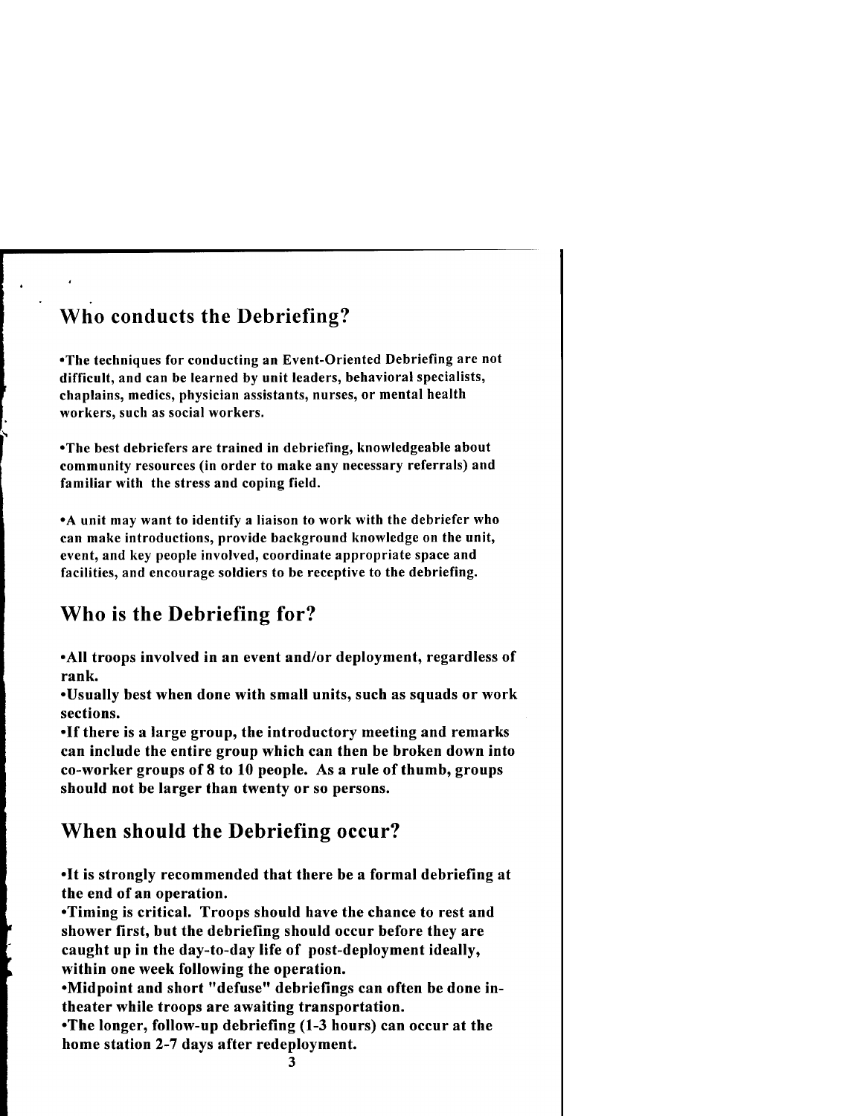## Who conducts the Debriefing?

•The techniques for conducting an Event-Oriented Debriefing are not difficult, and can be learned by unit leaders, behavioral specialists, chaplains, medics, physician assistants, nurses, or mental health workers, such as social workers.

•The best debriefers are trained in debriefing, knowledgeable about community resources (in order to make any necessary referrals) and familiar with the stress and coping field.

•A unit may want to identify a liaison to work with the debriefer who can make introductions, provide background knowledge on the unit, event, and key people involved, coordinate appropriate space and facilities, and encourage soldiers to be receptive to the debriefing.

## Who is the Debriefing for?

•All troops involved in an event and/or deployment, regardless of rank.

•Usually best when done with small units, such as squads or work sections.

•If there is a large group, the introductory meeting and remarks can include the entire group which can then be broken down into co-worker groups of 8 to 10 people. As a rule of thumb, groups should not be larger than twenty or so persons.

## When should the Debriefing occur?

•It is strongly recommended that there be a formal debriefing at the end of an operation.

•Timing is critical. Troops should have the chance to rest and shower first, but the debriefing should occur before they are caught up in the day-to-day life of post-deployment ideally, within one week following the operation.

•Midpoint and short "defuse" debriefings can often be done intheater while troops are awaiting transportation.

•The longer, follow-up debriefing (1-3 hours) can occur at the home station 2-7 days after redeployment.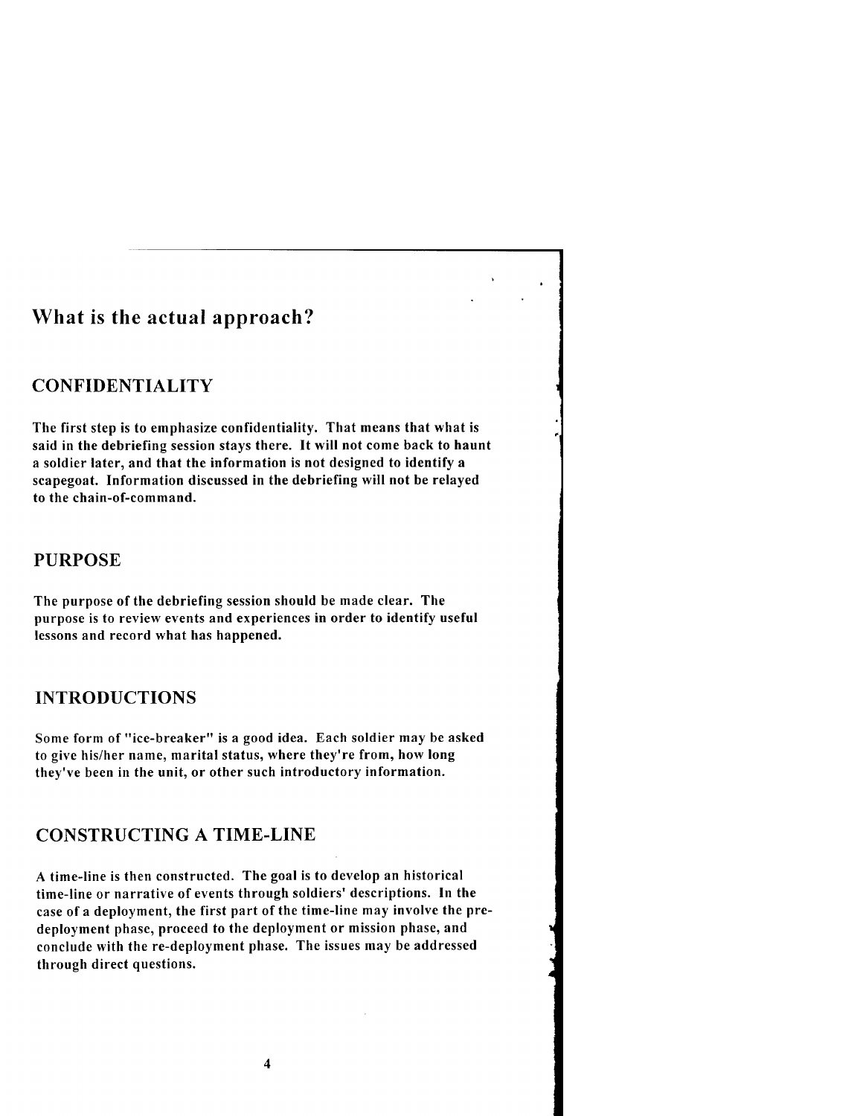### What is the actual approach?

### CONFIDENTIALITY

The first step is to emphasize confidentiality. That means that what is said in the debriefing session stays there. It will not come back to haunt a soldier later, and that the information is not designed to identify a scapegoat. Information discussed in the debriefing will not be relayed to the chain-of-command.

#### PURPOSE

The purpose of the debriefing session should be made clear. The purpose is to review events and experiences in order to identify useful lessons and record what has happened.

#### INTRODUCTIONS

Some form of "ice-breaker" is a good idea. Each soldier may be asked to give his/her name, marital status, where they're from, how long they've been in the unit, or other such introductory information.

### CONSTRUCTING A TIME-LINE

A time-line is then constructed. The goal is to develop an historical time-line or narrative of events through soldiers' descriptions. In the case of a deployment, the first part of the time-line may involve the predeployment phase, proceed to the deployment or mission phase, and conclude with the re-deployment phase. The issues may be addressed through direct questions.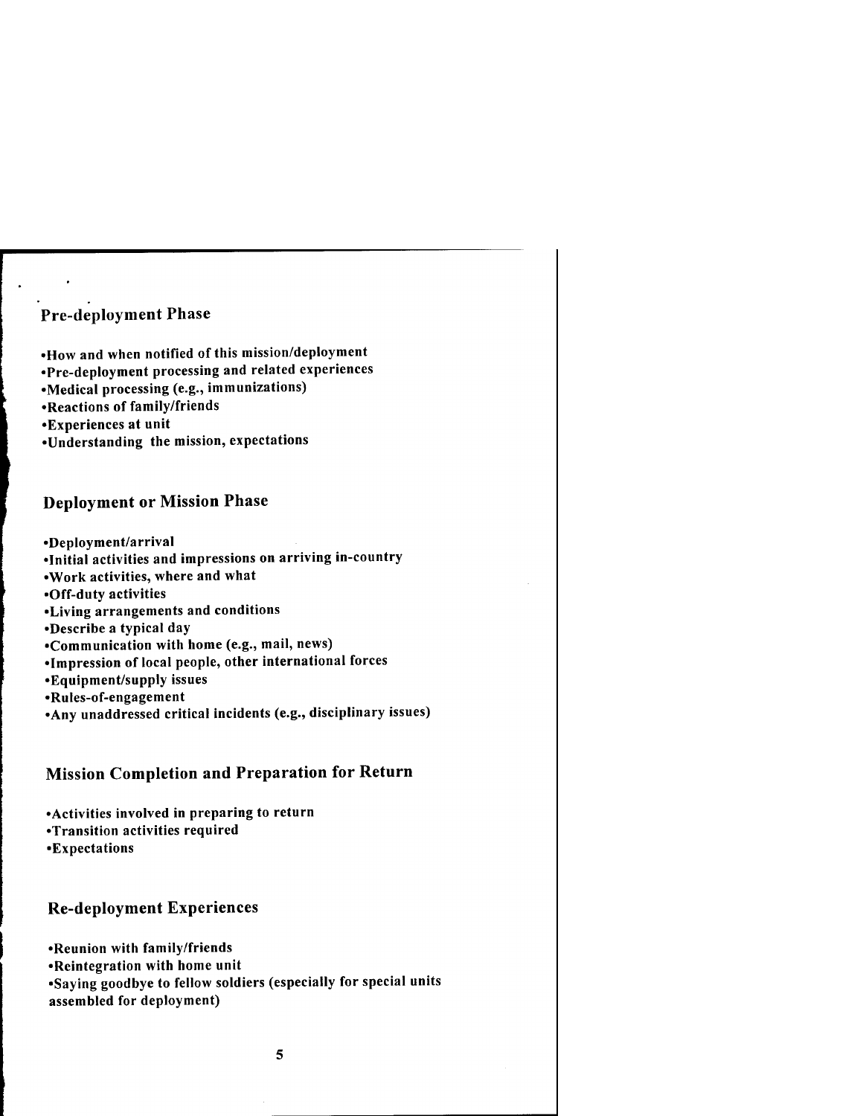### Pre-deployment Phase

- •How and when notified of this mission/deployment
- •Pre-deployment processing and related experiences
- •Medical processing (e.g., immunizations)
- •Reactions of family/friends
- •Experiences at unit
- •Understanding the mission, expectations

#### Deployment or Mission Phase

•Deployment/arrival

- •Initial activities and impressions on arriving in-country
- •Work activities, where and what

•Off-duty activities

- •Living arrangements and conditions
- •Describe a typical day
- •Communication with home (e.g., mail, news)
- •Impression of local people, other international forces
- •Equipment/supply issues
- •Rules-of-engagement
- •Any unaddressed critical incidents (e.g., disciplinary issues)

### Mission Completion and Preparation for Return

•Activities involved in preparing to return •Transition activities required •Expectations

#### Re-deployment Experiences

•Reunion with family/friends

- •Reintegration with home unit
- •Saying goodbye to fellow soldiers (especially for special units assembled for deployment)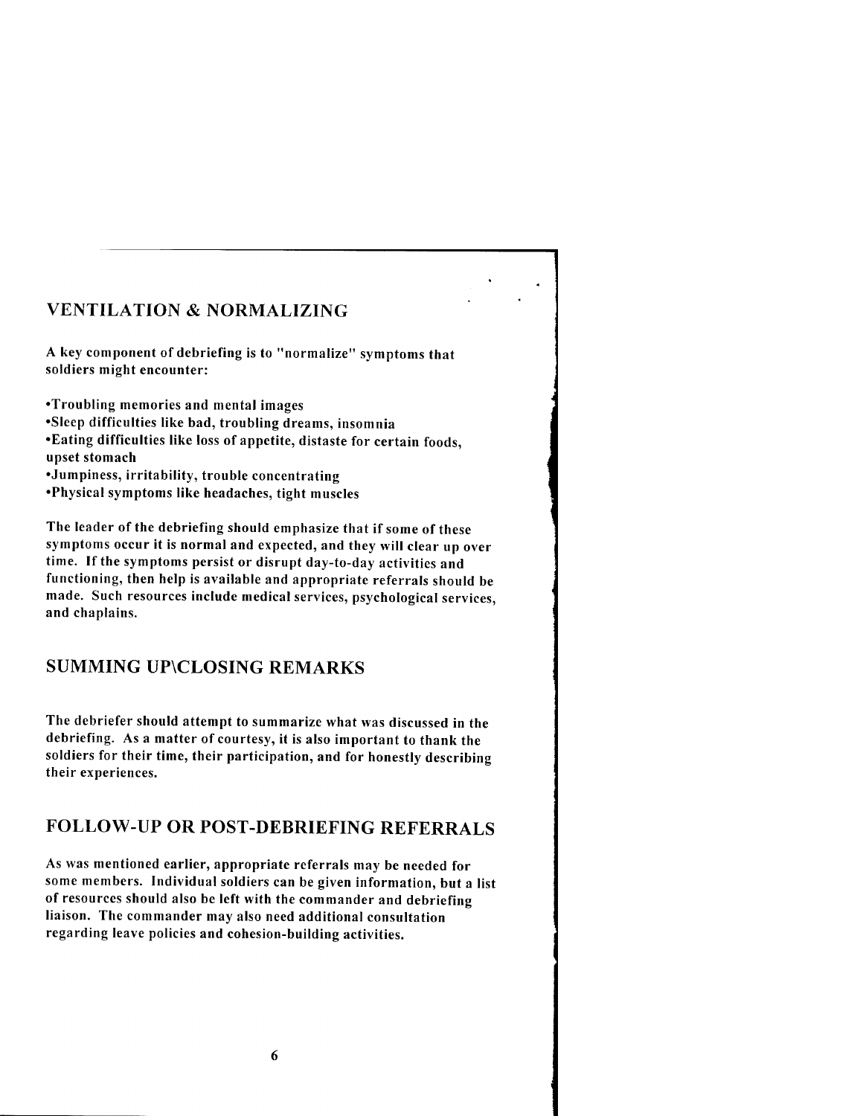### VENTILATION & NORMALIZING

A key component of debriefing is to "normalize" symptoms that soldiers might encounter:

•Troubling memories and mental images

•Sleep difficulties like bad, troubling dreams, insomnia

•Eating difficulties like loss of appetite, distaste for certain foods, upset stomach

•Jumpiness, irritability, trouble concentrating

•Physical symptoms like headaches, tight muscles

The leader of the debriefing should emphasize that if some of these symptoms occur it is normal and expected, and they will clear up over time. If the symptoms persist or disrupt day-to-day activities and functioning, then help is available and appropriate referrals should be made. Such resources include medical services, psychological services, and chaplains.

### SUMMING UP\CLOSING REMARKS

The debriefer should attempt to summarize what was discussed in the debriefing. As a matter of courtesy, it is also important to thank the soldiers for their time, their participation, and for honestly describing their experiences.

### FOLLOW-UP OR POST-DEBRIEFING REFERRALS

As was mentioned earlier, appropriate referrals may be needed for some members. Individual soldiers can be given information, but a list of resources should also be left with the commander and debriefing liaison. The commander may also need additional consultation regarding leave policies and cohesion-building activities.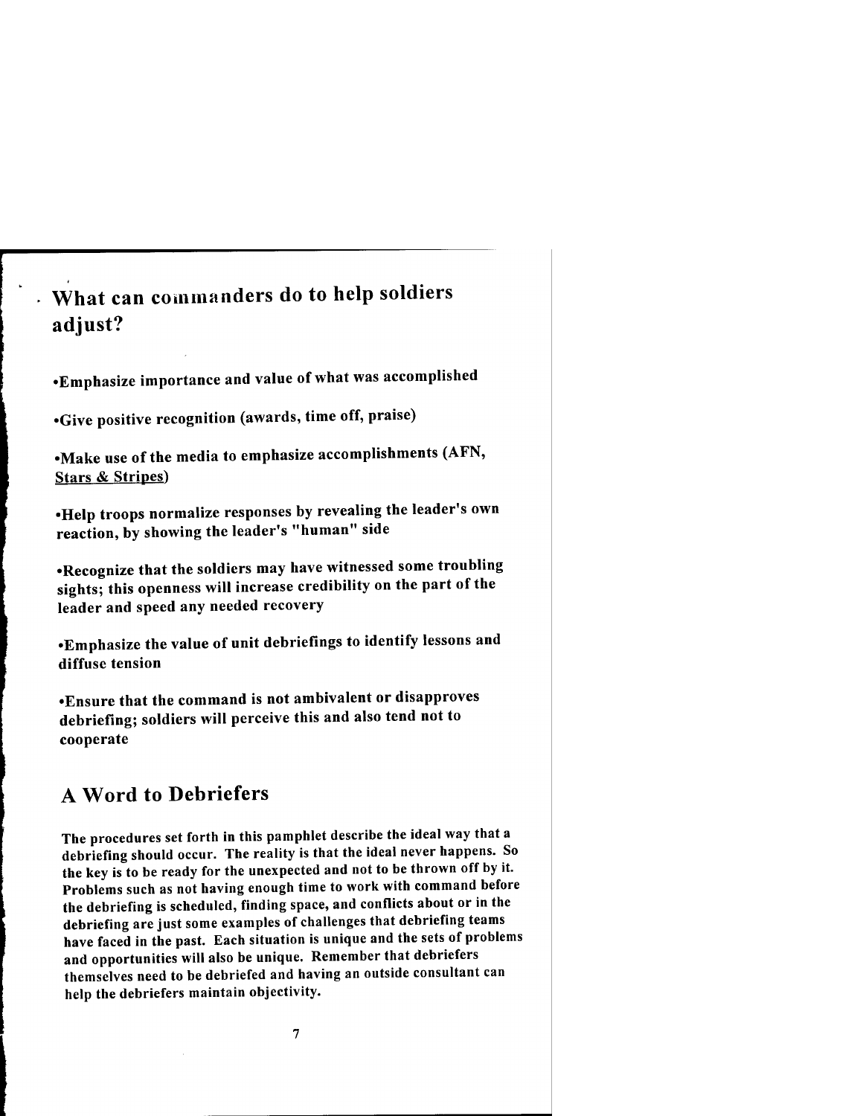## What can commanders do to help soldiers adjust?

•Emphasize importance and value of what was accomplished

•Give positive recognition (awards, time off, praise)

•Make use of the media to emphasize accomplishments (AFN, Stars *&* Stripes)

•Help troops normalize responses by revealing the leader's own reaction, by showing the leader's "human" side

•Recognize that the soldiers may have witnessed some troubling sights; this openness will increase credibility on the part of the leader and speed any needed recovery

•Emphasize the value of unit debriefings to identify lessons and diffuse tension

•Ensure that the command is not ambivalent or disapproves debriefing; soldiers will perceive this and also tend not to cooperate

### A Word to Debriefers

The procedures set forth in this pamphlet describe the ideal way that a debriefing should occur. The reality is that the ideal never happens. So the key is to be ready for the unexpected and not to be thrown off by it. Problems such as not having enough time to work with command before the debriefing is scheduled, finding space, and conflicts about or in the debriefing are just some examples of challenges that debriefing teams have faced in the past. Each situation is unique and the sets of problems and opportunities will also be unique. Remember that debriefers themselves need to be debriefed and having an outside consultant can help the debriefers maintain objectivity.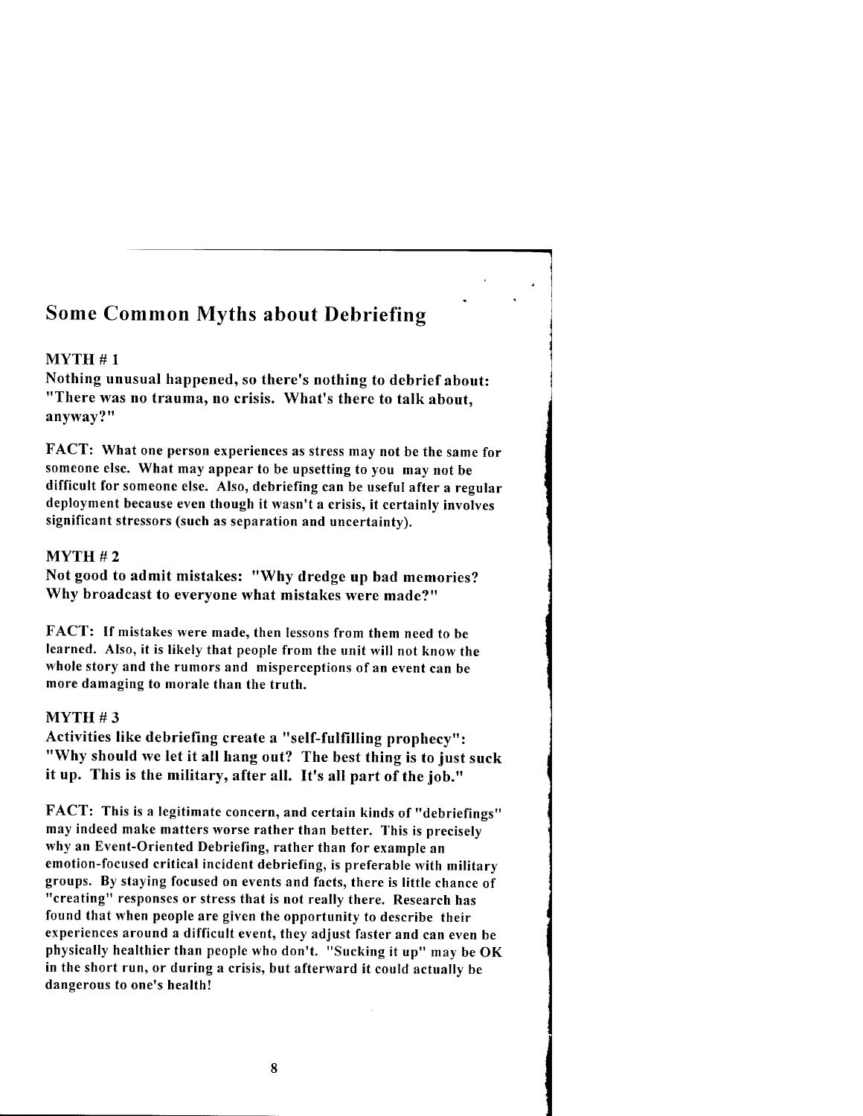### Some Common Myths about Debriefing

#### MYTH #1

Nothing unusual happened, so there's nothing to debrief about: "There was no trauma, no crisis. What's there to talk about, anyway?"

FACT: What one person experiences as stress may not be the same for someone else. What may appear to be upsetting to you may not be difficult for someone else. Also, debriefing can be useful after a regular deployment because even though it wasn't a crisis, it certainly involves significant stressors (such as separation and uncertainty).

#### $MYTH#2$

Not good to admit mistakes: "Why dredge up bad memories? Why broadcast to everyone what mistakes were made?"

FACT: If mistakes were made, then lessons from them need to be learned. Also, it is likely that people from the unit will not know the whole story and the rumors and misperceptions of an event can be more damaging to morale than the truth.

#### MYTH #3

Activities like debriefing create a "self-fulfilling prophecy": "Why should we let it all hang out? The best thing is to just suck it up. This is the military, after all. It's all part of the job."

FACT: This is a legitimate concern, and certain kinds of "debriefings" may indeed make matters worse rather than better. This is precisely why an Event-Oriented Debriefing, rather than for example an emotion-focused critical incident debriefing, is preferable with military groups. By staying focused on events and facts, there is little chance of "creating" responses or stress that is not really there. Research has found that when people are given the opportunity to describe their experiences around a difficult event, they adjust faster and can even be physically healthier than people who don't. "Sucking it up" may be OK in the short run, or during a crisis, but afterward it could actually be dangerous to one's health!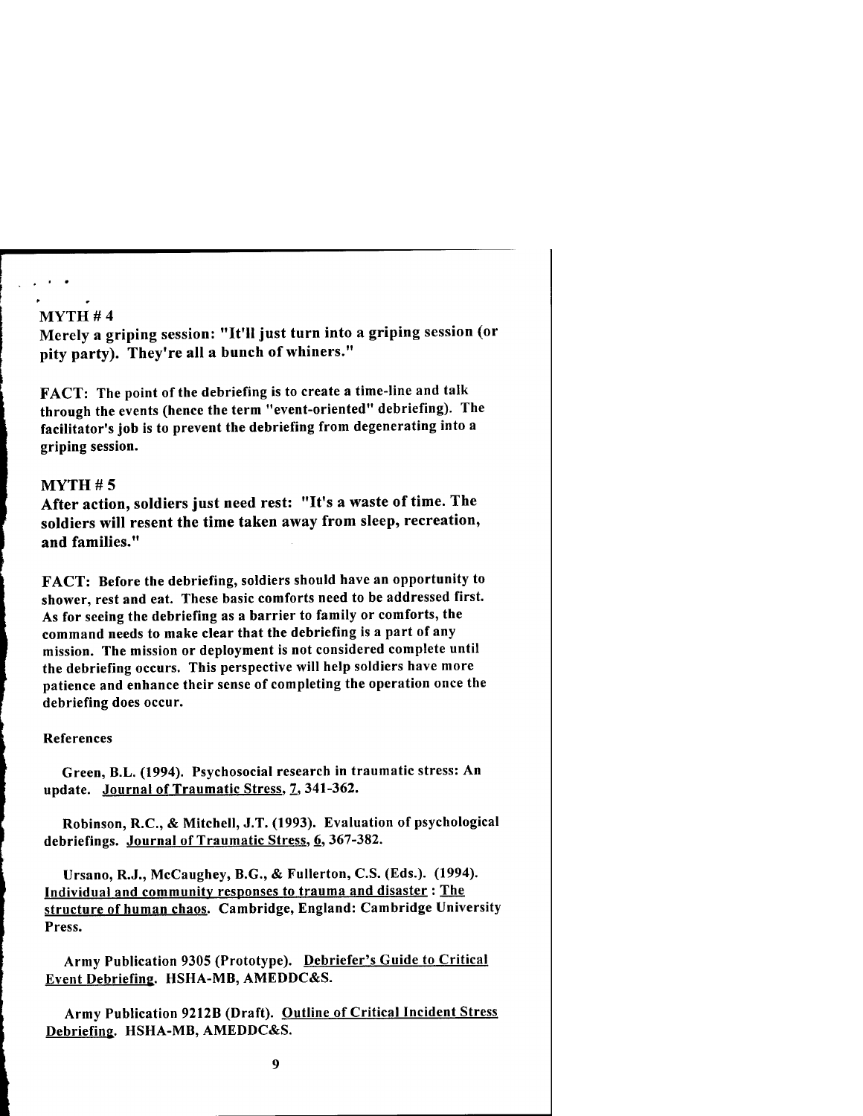#### MYTH # 4

Merely a griping session: "It'll just turn into a griping session (or pity party). They're all a bunch of whiners."

FACT: The point of the debriefing is to create a time-line and talk through the events (hence the term "event-oriented" debriefing). The facilitator's job is to prevent the debriefing from degenerating into a griping session.

#### $MYTH#5$

After action, soldiers just need rest: "It's a waste of time. The soldiers will resent the time taken away from sleep, recreation, and families."

FACT: Before the debriefing, soldiers should have an opportunity to shower, rest and eat. These basic comforts need to be addressed first. As for seeing the debriefing as a barrier to family or comforts, the command needs to make clear that the debriefing is a part of any mission. The mission or deployment is not considered complete until the debriefing occurs. This perspective will help soldiers have more patience and enhance their sense of completing the operation once the debriefing does occur.

#### References

Green, B.L. (1994). Psychosocial research in traumatic stress: An update. Journal of Traumatic Stress, 7, 341-362.

Robinson, R.C., & Mitchell, J.T. (1993). Evaluation of psychological debriefings. Journal of Traumatic Stress, 6, 367-382.

Ursano, R.J., McCaughey, B.G., & Fullerton, C.S. (Eds.). (1994). Individual and community responses to trauma and disaster : The structure of human chaos. Cambridge, England: Cambridge University Press.

Army Publication 9305 (Prototype). Debriefer's Guide to Critical Event Debriefing. HSHA-MB, AMEDDC&S.

Army Publication 9212B (Draft). Outline of Critical Incident Stress Debriefing. HSHA-MB, AMEDDC&S.